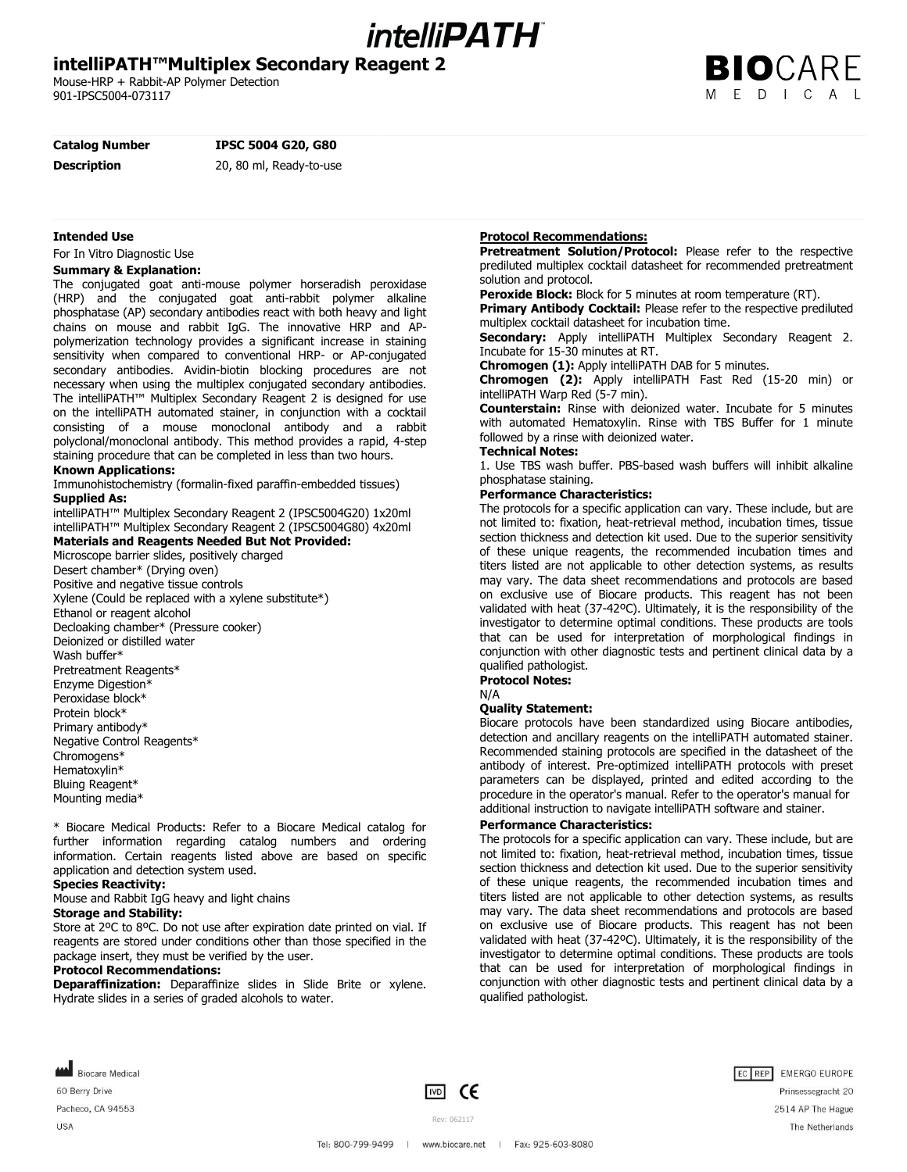# *intelliPATH*

## **intelliPATH™Multiplex Secondary Reagent 2**

Mouse-HRP + Rabbit-AP Polymer Detection 901-IPSC5004-073117

## **Catalog Number IPSC 5004 G20, G80**

**Description** 20, 80 ml, Ready-to-use

#### **Intended Use**

For In Vitro Diagnostic Use

#### **Summary & Explanation:**

The conjugated goat anti-mouse polymer horseradish peroxidase (HRP) and the conjugated goat anti-rabbit polymer alkaline phosphatase (AP) secondary antibodies react with both heavy and light chains on mouse and rabbit IgG. The innovative HRP and APpolymerization technology provides a significant increase in staining sensitivity when compared to conventional HRP- or AP-conjugated secondary antibodies. Avidin-biotin blocking procedures are not necessary when using the multiplex conjugated secondary antibodies. The intelliPATH™ Multiplex Secondary Reagent 2 is designed for use on the intelliPATH automated stainer, in conjunction with a cocktail consisting of a mouse monoclonal antibody and a rabbit polyclonal/monoclonal antibody. This method provides a rapid, 4-step staining procedure that can be completed in less than two hours.

#### **Known Applications:**

Immunohistochemistry (formalin-fixed paraffin-embedded tissues) **Supplied As:**

intelliPATH™ Multiplex Secondary Reagent 2 (IPSC5004G20) 1x20ml intelliPATH™ Multiplex Secondary Reagent 2 (IPSC5004G80) 4x20ml

## **Materials and Reagents Needed But Not Provided:**

Microscope barrier slides, positively charged Desert chamber\* (Drying oven) Positive and negative tissue controls Xylene (Could be replaced with a xylene substitute\*) Ethanol or reagent alcohol Decloaking chamber\* (Pressure cooker) Deionized or distilled water Wash buffer\* Pretreatment Reagents\* Enzyme Digestion\* Peroxidase block\* Protein block\* Primary antibody\* Negative Control Reagents\* Chromogens\* Hematoxylin\* Bluing Reagent\* Mounting media\*

\* Biocare Medical Products: Refer to a Biocare Medical catalog for further information regarding catalog numbers and ordering information. Certain reagents listed above are based on specific application and detection system used.

## **Species Reactivity:**

Mouse and Rabbit IgG heavy and light chains

**Storage and Stability:**

Store at 2ºC to 8ºC. Do not use after expiration date printed on vial. If reagents are stored under conditions other than those specified in the package insert, they must be verified by the user.

#### **Protocol Recommendations:**

**Deparaffinization:** Deparaffinize slides in Slide Brite or xylene. Hydrate slides in a series of graded alcohols to water.

## **Protocol Recommendations:**

**Pretreatment Solution/Protocol:** Please refer to the respective prediluted multiplex cocktail datasheet for recommended pretreatment solution and protocol.

**Peroxide Block:** Block for 5 minutes at room temperature (RT).

**Primary Antibody Cocktail:** Please refer to the respective prediluted multiplex cocktail datasheet for incubation time.

**Secondary:** Apply intelliPATH Multiplex Secondary Reagent 2. Incubate for 15-30 minutes at RT.

**Chromogen (1):** Apply intelliPATH DAB for 5 minutes.

**Chromogen (2):** Apply intelliPATH Fast Red (15-20 min) or intelliPATH Warp Red (5-7 min).

**Counterstain:** Rinse with deionized water. Incubate for 5 minutes with automated Hematoxylin. Rinse with TBS Buffer for 1 minute followed by a rinse with deionized water.

#### **Technical Notes:**

1. Use TBS wash buffer. PBS-based wash buffers will inhibit alkaline phosphatase staining.

## **Performance Characteristics:**

The protocols for a specific application can vary. These include, but are not limited to: fixation, heat-retrieval method, incubation times, tissue section thickness and detection kit used. Due to the superior sensitivity of these unique reagents, the recommended incubation times and titers listed are not applicable to other detection systems, as results may vary. The data sheet recommendations and protocols are based on exclusive use of Biocare products. This reagent has not been validated with heat (37-42ºC). Ultimately, it is the responsibility of the investigator to determine optimal conditions. These products are tools that can be used for interpretation of morphological findings in conjunction with other diagnostic tests and pertinent clinical data by a qualified pathologist.

#### **Protocol Notes:**

N/A

#### **Quality Statement:**

Biocare protocols have been standardized using Biocare antibodies, detection and ancillary reagents on the intelliPATH automated stainer. Recommended staining protocols are specified in the datasheet of the antibody of interest. Pre-optimized intelliPATH protocols with preset parameters can be displayed, printed and edited according to the procedure in the operator's manual. Refer to the operator's manual for additional instruction to navigate intelliPATH software and stainer.

#### **Performance Characteristics:**

The protocols for a specific application can vary. These include, but are not limited to: fixation, heat-retrieval method, incubation times, tissue section thickness and detection kit used. Due to the superior sensitivity of these unique reagents, the recommended incubation times and titers listed are not applicable to other detection systems, as results may vary. The data sheet recommendations and protocols are based on exclusive use of Biocare products. This reagent has not been validated with heat (37-42ºC). Ultimately, it is the responsibility of the investigator to determine optimal conditions. These products are tools that can be used for interpretation of morphological findings in conjunction with other diagnostic tests and pertinent clinical data by a qualified pathologist.

**MA** Biocare Medical 60 Berry Drive Pacheco, CA 94553 **USA** 





Rev: 062117 Tel: 800-799-9499 | www.biocare.net | Fax: 925-603-8080